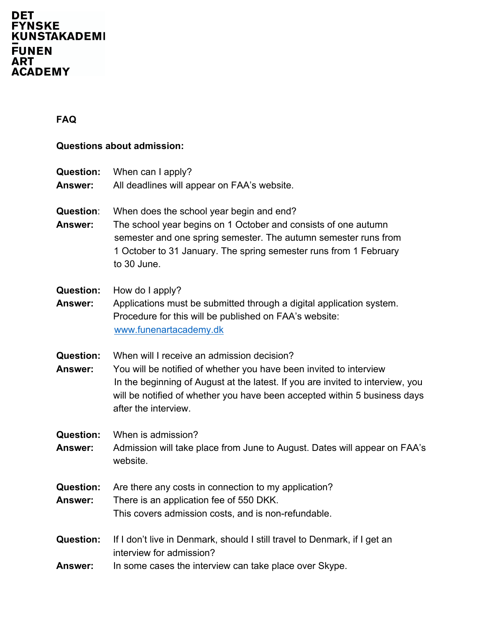# DET<br>FYNSKE<br>KUNSTAKADEMI \_<br>FUNEN<br>ART<br>ACADEMY

## **FAQ**

## **Questions about admission:**

| <b>Question:</b> | When can I apply?                                                              |
|------------------|--------------------------------------------------------------------------------|
| Answer:          | All deadlines will appear on FAA's website.                                    |
|                  |                                                                                |
| <b>Question:</b> | When does the school year begin and end?                                       |
| <b>Answer:</b>   | The school year begins on 1 October and consists of one autumn                 |
|                  | semester and one spring semester. The autumn semester runs from                |
|                  | 1 October to 31 January. The spring semester runs from 1 February              |
|                  | to 30 June.                                                                    |
|                  |                                                                                |
| <b>Question:</b> | How do I apply?                                                                |
| Answer:          | Applications must be submitted through a digital application system.           |
|                  | Procedure for this will be published on FAA's website:                         |
|                  | www.funenartacademy.dk                                                         |
|                  |                                                                                |
| <b>Question:</b> | When will I receive an admission decision?                                     |
| Answer:          | You will be notified of whether you have been invited to interview             |
|                  | In the beginning of August at the latest. If you are invited to interview, you |
|                  | will be notified of whether you have been accepted within 5 business days      |
|                  | after the interview.                                                           |
|                  |                                                                                |
| <b>Question:</b> | When is admission?                                                             |
| Answer:          | Admission will take place from June to August. Dates will appear on FAA's      |
|                  | website.                                                                       |
|                  |                                                                                |
| <b>Question:</b> | Are there any costs in connection to my application?                           |
| Answer:          | There is an application fee of 550 DKK.                                        |
|                  | This covers admission costs, and is non-refundable.                            |
|                  |                                                                                |
| <b>Question:</b> | If I don't live in Denmark, should I still travel to Denmark, if I get an      |
|                  | interview for admission?                                                       |
| <b>Answer:</b>   | In some cases the interview can take place over Skype.                         |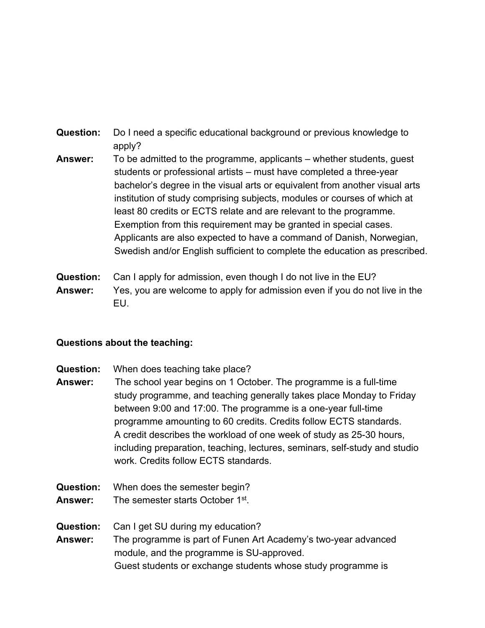- **Question:** Do I need a specific educational background or previous knowledge to apply?
- **Answer:** To be admitted to the programme, applicants whether students, guest students or professional artists – must have completed a three-year bachelor's degree in the visual arts or equivalent from another visual arts institution of study comprising subjects, modules or courses of which at least 80 credits or ECTS relate and are relevant to the programme. Exemption from this requirement may be granted in special cases. Applicants are also expected to have a command of Danish, Norwegian, Swedish and/or English sufficient to complete the education as prescribed.
- **Question:** Can I apply for admission, even though I do not live in the EU? **Answer:** Yes, you are welcome to apply for admission even if you do not live in the EU.

#### **Questions about the teaching:**

- **Question:** When does teaching take place?
- **Answer:** The school year begins on 1 October. The programme is a full-time study programme, and teaching generally takes place Monday to Friday between 9:00 and 17:00. The programme is a one-year full-time programme amounting to 60 credits. Credits follow ECTS standards. A credit describes the workload of one week of study as 25-30 hours, including preparation, teaching, lectures, seminars, self-study and studio work. Credits follow ECTS standards.
- **Question:** When does the semester begin?
- **Answer:** The semester starts October 1st.
- **Question:** Can I get SU during my education?
- **Answer:** The programme is part of Funen Art Academy's two-year advanced module, and the programme is SU-approved. Guest students or exchange students whose study programme is